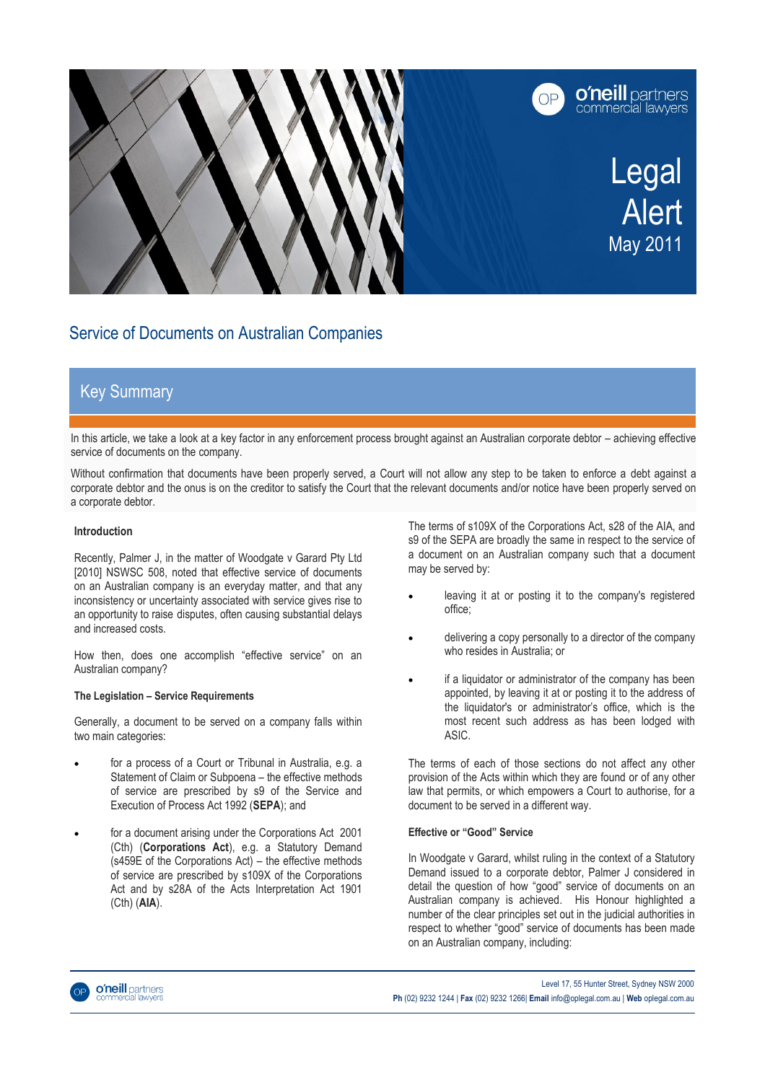

# Service of Documents on Australian Companies

# Key Summary

In this article, we take a look at a key factor in any enforcement process brought against an Australian corporate debtor – achieving effective service of documents on the company.

Without confirmation that documents have been properly served, a Court will not allow any step to be taken to enforce a debt against a corporate debtor and the onus is on the creditor to satisfy the Court that the relevant documents and/or notice have been properly served on a corporate debtor.

### **Introduction**

Recently, Palmer J, in the matter of Woodgate v Garard Pty Ltd [2010] NSWSC 508, noted that effective service of documents on an Australian company is an everyday matter, and that any inconsistency or uncertainty associated with service gives rise to an opportunity to raise disputes, often causing substantial delays and increased costs.

How then, does one accomplish "effective service" on an Australian company?

### **The Legislation – Service Requirements**

Generally, a document to be served on a company falls within two main categories:

- for a process of a Court or Tribunal in Australia, e.g. a Statement of Claim or Subpoena – the effective methods of service are prescribed by s9 of the Service and Execution of Process Act 1992 (**SEPA**); and
- for a document arising under the Corporations Act 2001 (Cth) (**Corporations Act**), e.g. a Statutory Demand (s459E of the Corporations Act) – the effective methods of service are prescribed by s109X of the Corporations Act and by s28A of the Acts Interpretation Act 1901 (Cth) (**AIA**).

The terms of s109X of the Corporations Act, s28 of the AIA, and s9 of the SEPA are broadly the same in respect to the service of a document on an Australian company such that a document may be served by:

- leaving it at or posting it to the company's registered office;
- delivering a copy personally to a director of the company who resides in Australia; or
- if a liquidator or administrator of the company has been appointed, by leaving it at or posting it to the address of the liquidator's or administrator's office, which is the most recent such address as has been lodged with ASIC.

The terms of each of those sections do not affect any other provision of the Acts within which they are found or of any other law that permits, or which empowers a Court to authorise, for a document to be served in a different way.

### **Effective or "Good" Service**

In Woodgate v Garard, whilst ruling in the context of a Statutory Demand issued to a corporate debtor, Palmer J considered in detail the question of how "good" service of documents on an Australian company is achieved. His Honour highlighted a number of the clear principles set out in the judicial authorities in respect to whether "good" service of documents has been made on an Australian company, including:

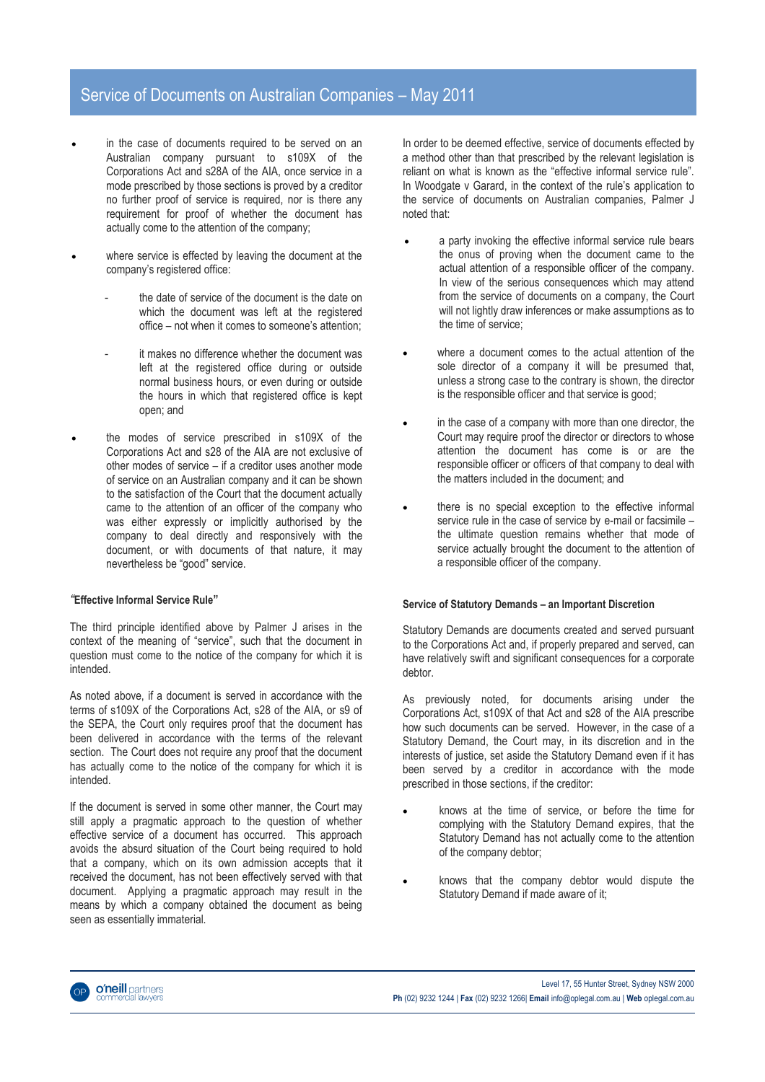### Service of Documents on Australian Companies – May 2011

- in the case of documents required to be served on an Australian company pursuant to s109X of the Corporations Act and s28A of the AIA, once service in a mode prescribed by those sections is proved by a creditor no further proof of service is required, nor is there any requirement for proof of whether the document has actually come to the attention of the company;
- where service is effected by leaving the document at the company's registered office:
	- the date of service of the document is the date on which the document was left at the registered office – not when it comes to someone's attention;
	- it makes no difference whether the document was left at the registered office during or outside normal business hours, or even during or outside the hours in which that registered office is kept open; and
- the modes of service prescribed in s109X of the Corporations Act and s28 of the AIA are not exclusive of other modes of service – if a creditor uses another mode of service on an Australian company and it can be shown to the satisfaction of the Court that the document actually came to the attention of an officer of the company who was either expressly or implicitly authorised by the company to deal directly and responsively with the document, or with documents of that nature, it may nevertheless be "good" service.

### *"***Effective Informal Service Rule"**

The third principle identified above by Palmer J arises in the context of the meaning of "service", such that the document in question must come to the notice of the company for which it is intended.

As noted above, if a document is served in accordance with the terms of s109X of the Corporations Act, s28 of the AIA, or s9 of the SEPA, the Court only requires proof that the document has been delivered in accordance with the terms of the relevant section. The Court does not require any proof that the document has actually come to the notice of the company for which it is intended.

If the document is served in some other manner, the Court may still apply a pragmatic approach to the question of whether effective service of a document has occurred. This approach avoids the absurd situation of the Court being required to hold that a company, which on its own admission accepts that it received the document, has not been effectively served with that document. Applying a pragmatic approach may result in the means by which a company obtained the document as being seen as essentially immaterial.

In order to be deemed effective, service of documents effected by a method other than that prescribed by the relevant legislation is reliant on what is known as the "effective informal service rule". In Woodgate v Garard, in the context of the rule's application to the service of documents on Australian companies, Palmer J noted that:

- a party invoking the effective informal service rule bears the onus of proving when the document came to the actual attention of a responsible officer of the company. In view of the serious consequences which may attend from the service of documents on a company, the Court will not lightly draw inferences or make assumptions as to the time of service;
- where a document comes to the actual attention of the sole director of a company it will be presumed that, unless a strong case to the contrary is shown, the director is the responsible officer and that service is good;
- in the case of a company with more than one director, the Court may require proof the director or directors to whose attention the document has come is or are the responsible officer or officers of that company to deal with the matters included in the document; and
- there is no special exception to the effective informal service rule in the case of service by e-mail or facsimile – the ultimate question remains whether that mode of service actually brought the document to the attention of a responsible officer of the company.

#### **Service of Statutory Demands – an Important Discretion**

Statutory Demands are documents created and served pursuant to the Corporations Act and, if properly prepared and served, can have relatively swift and significant consequences for a corporate debtor.

As previously noted, for documents arising under the Corporations Act, s109X of that Act and s28 of the AIA prescribe how such documents can be served. However, in the case of a Statutory Demand, the Court may, in its discretion and in the interests of justice, set aside the Statutory Demand even if it has been served by a creditor in accordance with the mode prescribed in those sections, if the creditor:

- knows at the time of service, or before the time for complying with the Statutory Demand expires, that the Statutory Demand has not actually come to the attention of the company debtor;
- knows that the company debtor would dispute the Statutory Demand if made aware of it;